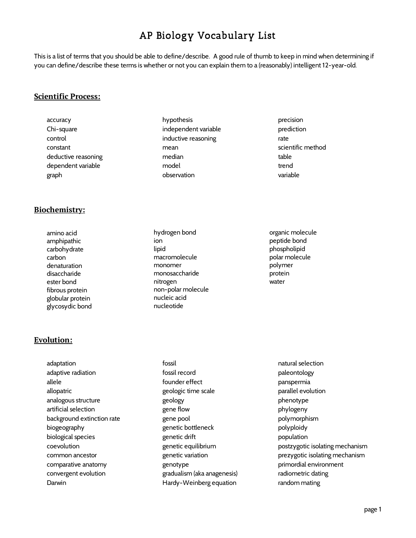# AP Biology Vocabulary List

This is a list of terms that you should be able to define/describe. A good rule of thumb to keep in mind when determining if you can define/describe these terms is whether or not you can explain them to a (reasonably) intelligent 12-year-old.

#### **Scientific Process:**

accuracy Chi-square control constant deductive reasoning dependent variable graph

#### **Biochemistry:**

amino acid amphipathic carbohydrate carbon denaturation disaccharide ester bond fibrous protein globular protein glycosydic bond

- hypothesis independent variable inductive reasoning mean median model observation
- hydrogen bond ion lipid macromolecule monomer monosaccharide nitrogen non-polar molecule nucleic acid nucleotide

precision prediction rate scientific method table trend variable

organic molecule peptide bond phospholipid polar molecule polymer protein water

# **Evolution:**

adaptation adaptive radiation allele allopatric analogous structure artificial selection background extinction rate biogeography biological species coevolution common ancestor comparative anatomy convergent evolution Darwin

- fossil fossil record founder effect geologic time scale geology gene flow gene pool genetic bottleneck genetic drift genetic equilibrium genetic variation genotype gradualism (aka anagenesis) Hardy-Weinberg equation
- natural selection paleontology panspermia parallel evolution phenotype phylogeny polymorphism polyploidy population postzygotic isolating mechanism prezygotic isolating mechanism primordial environment radiometric dating random mating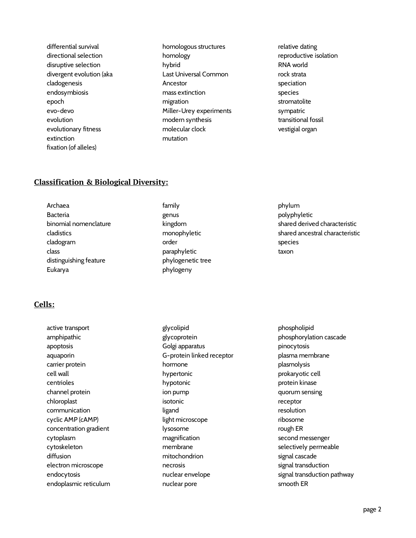differential survival directional selection disruptive selection divergent evolution (aka cladogenesis endosymbiosis epoch evo-devo evolution evolutionary fitness extinction fixation (of alleles)

homologous structures homology hybrid Last Universal Common Ancestor mass extinction migration Miller-Urey experiments modern synthesis molecular clock mutation

relative dating reproductive isolation RNA world rock strata speciation species stromatolite sympatric transitional fossil vestigial organ

# **Classification & Biological Diversity:**

Archaea Bacteria binomial nomenclature cladistics cladogram class distinguishing feature Eukarya

family genus kingdom monophyletic order paraphyletic phylogenetic tree phylogeny

phylum polyphyletic shared derived characteristic shared ancestral characteristic species taxon

# **Cells:**

active transport amphipathic apoptosis aquaporin carrier protein cell wall centrioles channel protein chloroplast communication cyclic AMP (cAMP) concentration gradient cytoplasm cytoskeleton diffusion electron microscope endocytosis endoplasmic reticulum glycolipid glycoprotein Golgi apparatus G-protein linked receptor hormone hypertonic hypotonic ion pump isotonic ligand light microscope lysosome magnification membrane mitochondrion necrosis nuclear envelope nuclear pore

phospholipid phosphorylation cascade pinocytosis plasma membrane plasmolysis prokaryotic cell protein kinase quorum sensing receptor resolution ribosome rough ER second messenger selectively permeable signal cascade signal transduction signal transduction pathway smooth ER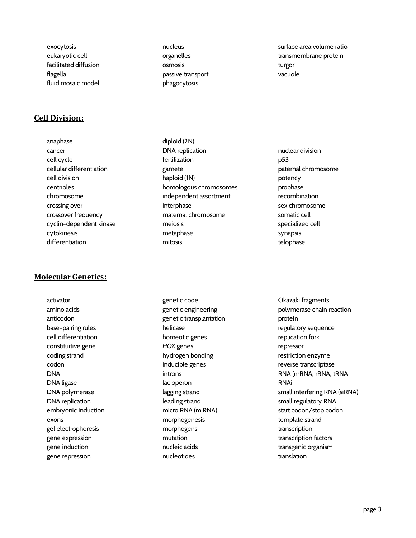exocytosis eukaryotic cell facilitated diffusion flagella fluid mosaic model

# **Cell Division:**

anaphase cancer cell cycle cellular differentiation cell division centrioles chromosome crossing over crossover frequency cyclin-dependent kinase cytokinesis differentiation

# **Molecular Genetics:**

activator amino acids anticodon base-pairing rules cell differentiation constituitive gene coding strand codon DNA DNA ligase DNA polymerase DNA replication embryonic induction exons gel electrophoresis gene expression gene induction gene repression

nucleus organelles osmosis passive transport phagocytosis

surface area:volume ratio transmembrane protein turgor vacuole

diploid (2N) DNA replication fertilization gamete haploid (1N) homologous chromosomes independent assortment interphase maternal chromosome meiosis metaphase mitosis

nuclear division p53 paternal chromosome potency prophase recombination sex chromosome somatic cell specialized cell synapsis telophase

genetic code genetic engineering genetic transplantation helicase homeotic genes *HOX* genes hydrogen bonding inducible genes introns lac operon lagging strand leading strand micro RNA (miRNA) morphogenesis morphogens mutation nucleic acids nucleotides

Okazaki fragments polymerase chain reaction protein regulatory sequence replication fork repressor restriction enzyme reverse transcriptase RNA (mRNA, rRNA, tRNA RNAi small interfering RNA (siRNA) small regulatory RNA start codon/stop codon template strand transcription transcription factors transgenic organism translation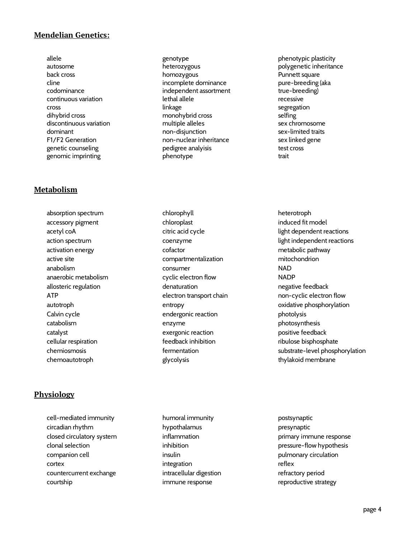# **Mendelian Genetics:**

allele autosome back cross cline codominance continuous variation cross dihybrid cross discontinuous variation dominant F1/F2 Generation genetic counseling genomic imprinting

#### **Metabolism**

absorption spectrum accessory pigment acetyl coA action spectrum activation energy active site anabolism anaerobic metabolism allosteric regulation ATP autotroph Calvin cycle catabolism catalyst cellular respiration chemiosmosis chemoautotroph

# **Physiology**

cell-mediated immunity circadian rhythm closed circulatory system clonal selection companion cell cortex countercurrent exchange courtship

genotype heterozygous homozygous incomplete dominance independent assortment lethal allele linkage monohybrid cross multiple alleles non-disjunction non-nuclear inheritance pedigree analyisis phenotype

phenotypic plasticity polygenetic inheritance Punnett square pure-breeding (aka true-breeding) recessive segregation selfing sex chromosome sex-limited traits sex linked gene test cross trait

chlorophyll chloroplast citric acid cycle coenzyme cofactor compartmentalization consumer cyclic electron flow denaturation electron transport chain entropy endergonic reaction enzyme exergonic reaction feedback inhibition fermentation glycolysis

heterotroph induced fit model light dependent reactions light independent reactions metabolic pathway mitochondrion NAD **NADP** negative feedback non-cyclic electron flow oxidative phosphorylation photolysis photosynthesis positive feedback ribulose bisphosphate substrate-level phosphorylation thylakoid membrane

humoral immunity hypothalamus inflammation inhibition insulin integration intracellular digestion immune response

postsynaptic presynaptic primary immune response pressure-flow hypothesis pulmonary circulation reflex refractory period reproductive strategy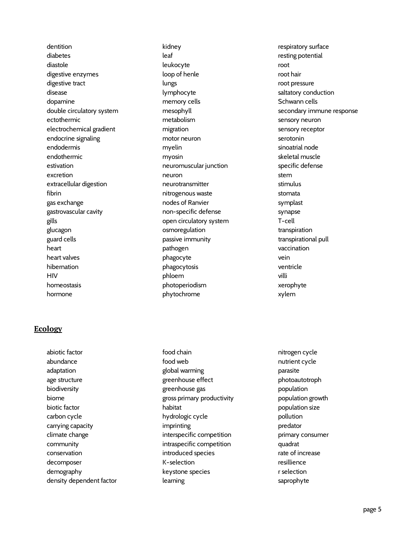dentition diabetes diastole digestive enzymes digestive tract disease dopamine double circulatory system ectothermic electrochemical gradient endocrine signaling endodermis endothermic estivation excretion extracellular digestion fibrin gas exchange gastrovascular cavity gills glucagon guard cells heart heart valves hibernation HIV homeostasis hormone

# **Ecology**

abiotic factor abundance adaptation age structure biodiversity biome biotic factor carbon cycle carrying capacity climate change community conservation decomposer demography density dependent factor kidney leaf leukocyte loop of henle lungs lymphocyte memory cells mesophyll metabolism migration motor neuron myelin myosin neuromuscular junction neuron neurotransmitter nitrogenous waste nodes of Ranvier non-specific defense open circulatory system osmoregulation passive immunity pathogen phagocyte phagocytosis phloem photoperiodism phytochrome

food chain food web global warming greenhouse effect greenhouse gas gross primary productivity habitat hydrologic cycle imprinting interspecific competition intraspecific competition introduced species K-selection keystone species learning

respiratory surface resting potential root root hair root pressure saltatory conduction Schwann cells secondary immune response sensory neuron sensory receptor serotonin sinoatrial node skeletal muscle specific defense stem stimulus stomata symplast synapse T-cell transpiration transpirational pull vaccination vein ventricle villi xerophyte xylem

nitrogen cycle nutrient cycle parasite photoautotroph population population growth population size pollution predator primary consumer quadrat rate of increase resillience r selection saprophyte